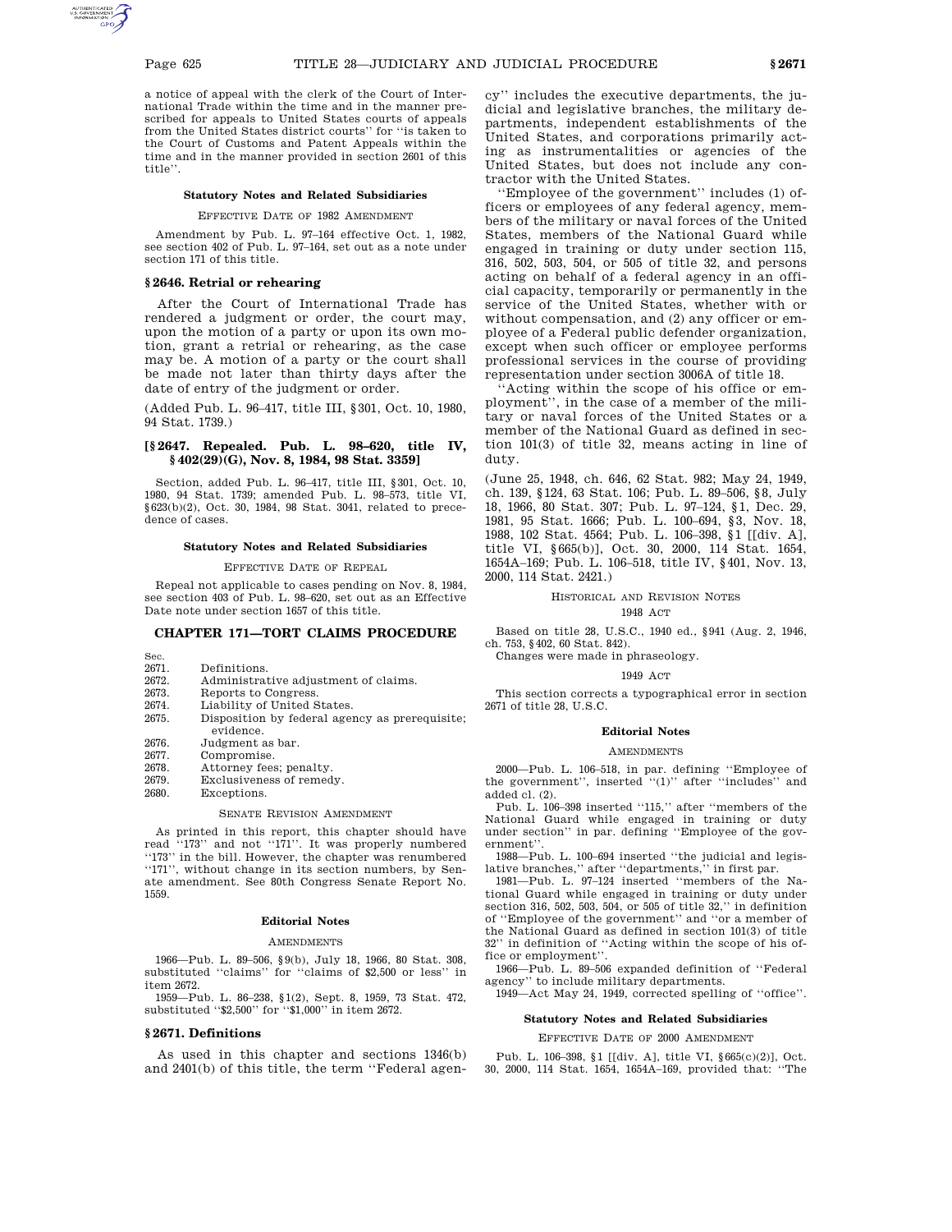a notice of appeal with the clerk of the Court of International Trade within the time and in the manner prescribed for appeals to United States courts of appeals from the United States district courts'' for ''is taken to the Court of Customs and Patent Appeals within the time and in the manner provided in section 2601 of this title''.

### **Statutory Notes and Related Subsidiaries**

#### EFFECTIVE DATE OF 1982 AMENDMENT

Amendment by Pub. L. 97–164 effective Oct. 1, 1982, see section 402 of Pub. L. 97–164, set out as a note under section 171 of this title.

# **§ 2646. Retrial or rehearing**

After the Court of International Trade has rendered a judgment or order, the court may, upon the motion of a party or upon its own motion, grant a retrial or rehearing, as the case may be. A motion of a party or the court shall be made not later than thirty days after the date of entry of the judgment or order.

(Added Pub. L. 96–417, title III, §301, Oct. 10, 1980, 94 Stat. 1739.)

### **[§ 2647. Repealed. Pub. L. 98–620, title IV, § 402(29)(G), Nov. 8, 1984, 98 Stat. 3359]**

Section, added Pub. L. 96–417, title III, §301, Oct. 10, 1980, 94 Stat. 1739; amended Pub. L. 98–573, title VI, §623(b)(2), Oct. 30, 1984, 98 Stat. 3041, related to precedence of cases.

## **Statutory Notes and Related Subsidiaries**

EFFECTIVE DATE OF REPEAL

Repeal not applicable to cases pending on Nov. 8, 1984, see section 403 of Pub. L. 98–620, set out as an Effective Date note under section 1657 of this title.

# **CHAPTER 171—TORT CLAIMS PROCEDURE**

- Sec.<br> $2671.$ Definitions.
- 2672. Administrative adjustment of claims.
- 2673. Reports to Congress.
- 2674. Liability of United States.
- 2675. Disposition by federal agency as prerequisite; evidence. 2676. Judgment as bar.
- 
- 2677. Compromise.<br>2678. Attorney fees
- 2678. Attorney fees; penalty.<br>2679. Exclusiveness of remed 2679. Exclusiveness of remedy.<br>2680 Exceptions
	- Exceptions.

# SENATE REVISION AMENDMENT

As printed in this report, this chapter should have read ''173'' and not ''171''. It was properly numbered "173" in the bill. However, the chapter was renumbered ''171'', without change in its section numbers, by Senate amendment. See 80th Congress Senate Report No. 1559.

### **Editorial Notes**

#### AMENDMENTS

1966—Pub. L. 89–506, §9(b), July 18, 1966, 80 Stat. 308, substituted ''claims'' for ''claims of \$2,500 or less'' in item 2672.

1959—Pub. L. 86–238, §1(2), Sept. 8, 1959, 73 Stat. 472, substituted ''\$2,500'' for ''\$1,000'' in item 2672.

#### **§ 2671. Definitions**

As used in this chapter and sections 1346(b) and 2401(b) of this title, the term ''Federal agency'' includes the executive departments, the judicial and legislative branches, the military departments, independent establishments of the United States, and corporations primarily acting as instrumentalities or agencies of the United States, but does not include any contractor with the United States.

''Employee of the government'' includes (1) officers or employees of any federal agency, members of the military or naval forces of the United States, members of the National Guard while engaged in training or duty under section 115, 316, 502, 503, 504, or 505 of title 32, and persons acting on behalf of a federal agency in an official capacity, temporarily or permanently in the service of the United States, whether with or without compensation, and (2) any officer or employee of a Federal public defender organization, except when such officer or employee performs professional services in the course of providing representation under section 3006A of title 18.

''Acting within the scope of his office or employment'', in the case of a member of the military or naval forces of the United States or a member of the National Guard as defined in section 101(3) of title 32, means acting in line of duty.

(June 25, 1948, ch. 646, 62 Stat. 982; May 24, 1949, ch. 139, §124, 63 Stat. 106; Pub. L. 89–506, §8, July 18, 1966, 80 Stat. 307; Pub. L. 97–124, §1, Dec. 29, 1981, 95 Stat. 1666; Pub. L. 100–694, §3, Nov. 18, 1988, 102 Stat. 4564; Pub. L. 106–398, §1 [[div. A], title VI, §665(b)], Oct. 30, 2000, 114 Stat. 1654, 1654A–169; Pub. L. 106–518, title IV, §401, Nov. 13, 2000, 114 Stat. 2421.)

### HISTORICAL AND REVISION NOTES 1948 ACT

Based on title 28, U.S.C., 1940 ed., §941 (Aug. 2, 1946,

ch. 753, §402, 60 Stat. 842). Changes were made in phraseology.

#### 1949 ACT

This section corrects a typographical error in section 2671 of title 28, U.S.C.

### **Editorial Notes**

#### **AMENDMENTS**

2000—Pub. L. 106–518, in par. defining ''Employee of the government", inserted "(1)" after "includes" and added cl. (2).

Pub. L. 106–398 inserted ''115,'' after ''members of the National Guard while engaged in training or duty under section'' in par. defining ''Employee of the government''.

1988—Pub. L. 100–694 inserted ''the judicial and legis-lative branches,'' after ''departments,'' in first par.

1981—Pub. L. 97–124 inserted ''members of the National Guard while engaged in training or duty under section 316, 502, 503, 504, or 505 of title 32,'' in definition of ''Employee of the government'' and ''or a member of the National Guard as defined in section 101(3) of title 32'' in definition of ''Acting within the scope of his office or employment''.

1966—Pub. L. 89–506 expanded definition of ''Federal agency'' to include military departments.

1949—Act May 24, 1949, corrected spelling of ''office''.

## **Statutory Notes and Related Subsidiaries**

## EFFECTIVE DATE OF 2000 AMENDMENT

Pub. L. 106–398, §1 [[div. A], title VI, §665(c)(2)], Oct. 30, 2000, 114 Stat. 1654, 1654A–169, provided that: ''The